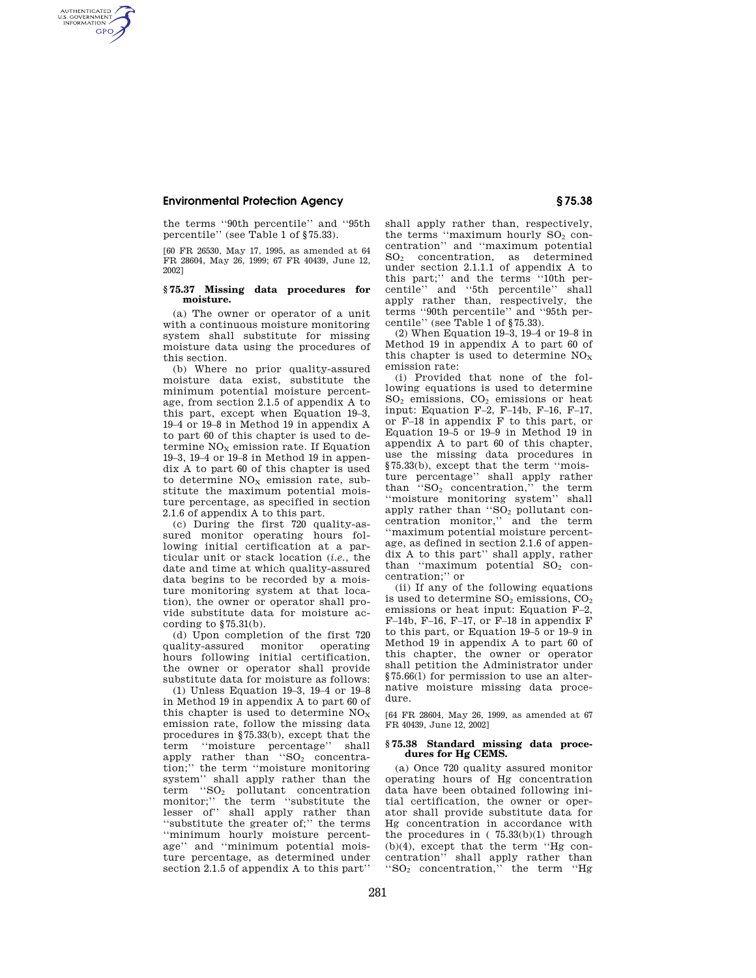## **Environmental Protection Agency § 75.38**

AUTHENTICATED<br>U.S. GOVERNMENT<br>INFORMATION **GPO** 

> the terms ''90th percentile'' and ''95th percentile'' (see Table 1 of §75.33).

> [60 FR 26530, May 17, 1995, as amended at 64 FR 28604, May 26, 1999; 67 FR 40439, June 12, 2002]

## **§ 75.37 Missing data procedures for moisture.**

(a) The owner or operator of a unit with a continuous moisture monitoring system shall substitute for missing moisture data using the procedures of this section.

(b) Where no prior quality-assured moisture data exist, substitute the minimum potential moisture percentage, from section 2.1.5 of appendix A to this part, except when Equation 19–3, 19–4 or 19–8 in Method 19 in appendix A to part 60 of this chapter is used to determine  $NO<sub>x</sub>$  emission rate. If Equation 19–3, 19–4 or 19–8 in Method 19 in appendix A to part 60 of this chapter is used to determine  $NO<sub>x</sub>$  emission rate, substitute the maximum potential moisture percentage, as specified in section 2.1.6 of appendix A to this part.

(c) During the first 720 quality-assured monitor operating hours following initial certification at a particular unit or stack location (*i.e.*, the date and time at which quality-assured data begins to be recorded by a moisture monitoring system at that location), the owner or operator shall provide substitute data for moisture according to §75.31(b).

(d) Upon completion of the first 720 quality-assured monitor operating hours following initial certification, the owner or operator shall provide substitute data for moisture as follows:

(1) Unless Equation 19–3, 19–4 or 19–8 in Method 19 in appendix A to part 60 of this chapter is used to determine  $NO<sub>x</sub>$ emission rate, follow the missing data procedures in §75.33(b), except that the term ''moisture percentage'' shall apply rather than "SO<sub>2</sub> concentration;'' the term ''moisture monitoring system'' shall apply rather than the term "SO<sub>2</sub> pollutant concentration monitor;'' the term ''substitute the lesser of'' shall apply rather than ''substitute the greater of;'' the terms ''minimum hourly moisture percentage" and "minimum potential moisture percentage, as determined under section 2.1.5 of appendix A to this part''

shall apply rather than, respectively, the terms "maximum hourly  $SO<sub>2</sub>$  concentration'' and ''maximum potential SO<sup>2</sup> concentration, as determined under section 2.1.1.1 of appendix A to this part;'' and the terms ''10th percentile'' and ''5th percentile'' shall apply rather than, respectively, the terms ''90th percentile'' and ''95th percentile'' (see Table 1 of §75.33).

(2) When Equation 19–3, 19–4 or 19–8 in Method 19 in appendix A to part 60 of this chapter is used to determine  $NO<sub>x</sub>$ emission rate:

(i) Provided that none of the following equations is used to determine SO<sup>2</sup> emissions, CO<sup>2</sup> emissions or heat input: Equation F–2, F–14b, F–16, F–17, or F–18 in appendix F to this part, or Equation 19–5 or 19–9 in Method 19 in appendix A to part 60 of this chapter, use the missing data procedures in §75.33(b), except that the term ''moisture percentage'' shall apply rather than  $\cdot$ 'SO<sub>2</sub> concentration," the term ''moisture monitoring system'' shall apply rather than  $\mathcal{S}O_2$  pollutant concentration monitor,'' and the term ''maximum potential moisture percentage, as defined in section 2.1.6 of appendix A to this part'' shall apply, rather than "maximum potential SO<sub>2</sub> concentration;'' or

(ii) If any of the following equations is used to determine  $SO_2$  emissions,  $CO_2$ emissions or heat input: Equation F–2,  $F-14b$ ,  $F-16$ ,  $F-17$ , or  $F-18$  in appendix  $F$ to this part, or Equation 19–5 or 19–9 in Method 19 in appendix A to part 60 of this chapter, the owner or operator shall petition the Administrator under §75.66(l) for permission to use an alternative moisture missing data procedure.

[64 FR 28604, May 26, 1999, as amended at 67 FR 40439, June 12, 2002]

## **§ 75.38 Standard missing data procedures for Hg CEMS.**

(a) Once 720 quality assured monitor operating hours of Hg concentration data have been obtained following initial certification, the owner or operator shall provide substitute data for Hg concentration in accordance with the procedures in  $(75.33(b)(1)$  through (b)(4), except that the term ''Hg concentration'' shall apply rather than ''SO<sup>2</sup> concentration,'' the term ''Hg